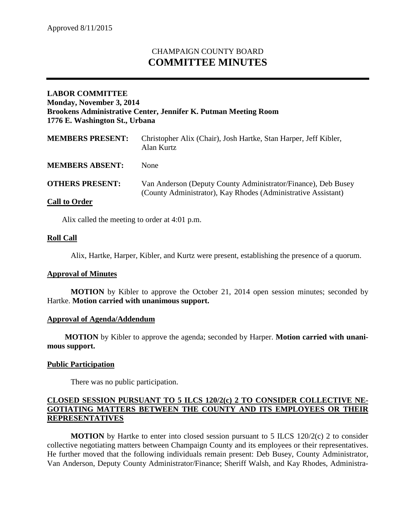# CHAMPAIGN COUNTY BOARD **COMMITTEE MINUTES**

## **LABOR COMMITTEE Monday, November 3, 2014 Brookens Administrative Center, Jennifer K. Putman Meeting Room 1776 E. Washington St., Urbana**

| <b>MEMBERS PRESENT:</b> | Christopher Alix (Chair), Josh Hartke, Stan Harper, Jeff Kibler,<br>Alan Kurtz                                                 |
|-------------------------|--------------------------------------------------------------------------------------------------------------------------------|
| <b>MEMBERS ABSENT:</b>  | <b>None</b>                                                                                                                    |
| <b>OTHERS PRESENT:</b>  | Van Anderson (Deputy County Administrator/Finance), Deb Busey<br>(County Administrator), Kay Rhodes (Administrative Assistant) |
| <b>Call to Order</b>    |                                                                                                                                |

Alix called the meeting to order at 4:01 p.m.

### **Roll Call**

Alix, Hartke, Harper, Kibler, and Kurtz were present, establishing the presence of a quorum.

#### **Approval of Minutes**

**MOTION** by Kibler to approve the October 21, 2014 open session minutes; seconded by Hartke. **Motion carried with unanimous support.**

#### **Approval of Agenda/Addendum**

**MOTION** by Kibler to approve the agenda; seconded by Harper. **Motion carried with unanimous support.**

#### **Public Participation**

There was no public participation.

## **CLOSED SESSION PURSUANT TO 5 ILCS 120/2(c) 2 TO CONSIDER COLLECTIVE NE-GOTIATING MATTERS BETWEEN THE COUNTY AND ITS EMPLOYEES OR THEIR REPRESENTATIVES**

**MOTION** by Hartke to enter into closed session pursuant to 5 ILCS 120/2(c) 2 to consider collective negotiating matters between Champaign County and its employees or their representatives. He further moved that the following individuals remain present: Deb Busey, County Administrator, Van Anderson, Deputy County Administrator/Finance; Sheriff Walsh, and Kay Rhodes, Administra